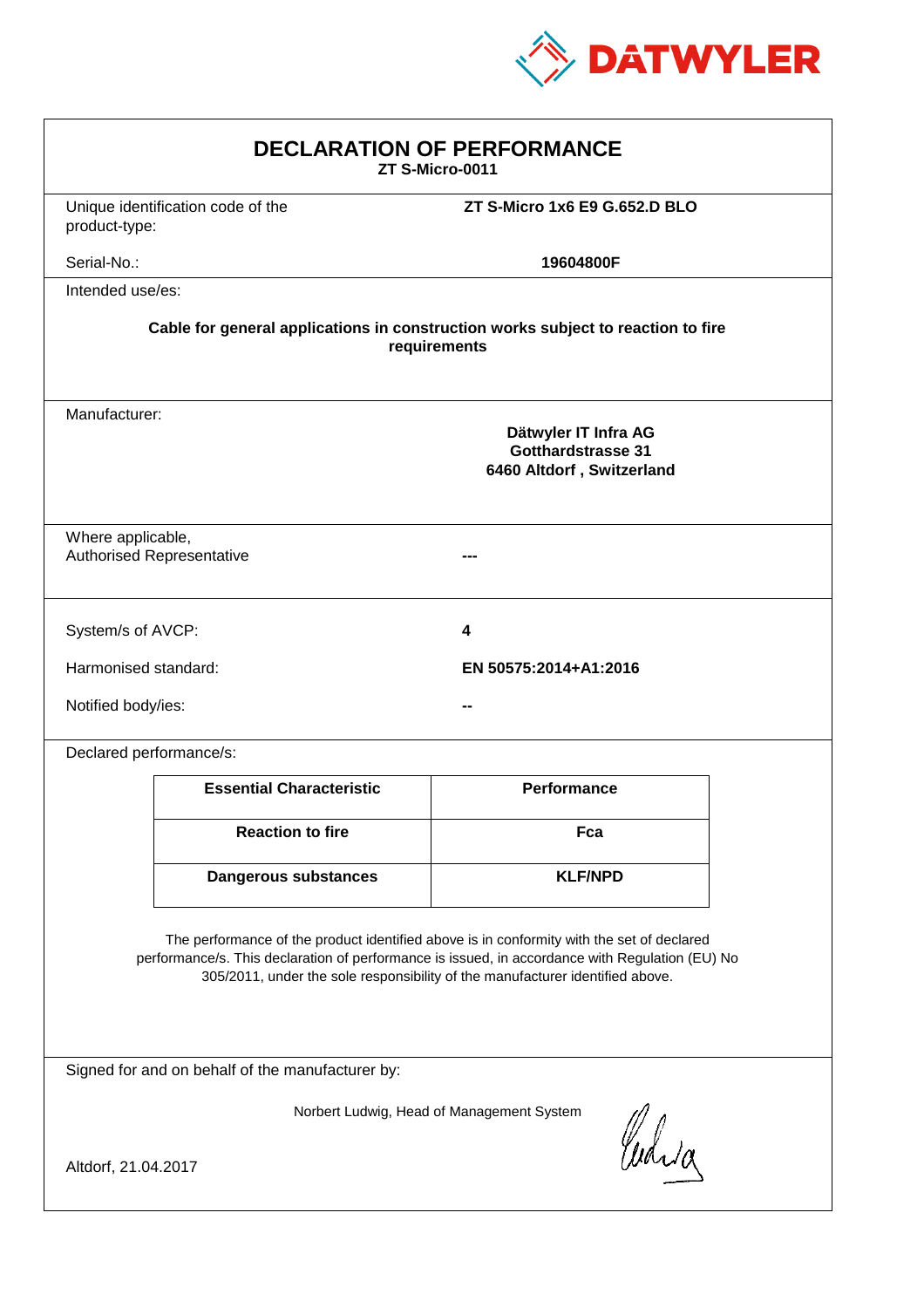

| <b>DECLARATION OF PERFORMANCE</b><br>ZT S-Micro-0011                                                                                                                                                                                                                          |                                   |                               |  |
|-------------------------------------------------------------------------------------------------------------------------------------------------------------------------------------------------------------------------------------------------------------------------------|-----------------------------------|-------------------------------|--|
| product-type:                                                                                                                                                                                                                                                                 | Unique identification code of the | ZT S-Micro 1x6 E9 G.652.D BLO |  |
| Serial-No.:                                                                                                                                                                                                                                                                   |                                   | 19604800F                     |  |
| Intended use/es:                                                                                                                                                                                                                                                              |                                   |                               |  |
| Cable for general applications in construction works subject to reaction to fire<br>requirements                                                                                                                                                                              |                                   |                               |  |
| Manufacturer:<br>Dätwyler IT Infra AG<br><b>Gotthardstrasse 31</b><br>6460 Altdorf, Switzerland                                                                                                                                                                               |                                   |                               |  |
| Where applicable,<br><b>Authorised Representative</b>                                                                                                                                                                                                                         |                                   |                               |  |
| System/s of AVCP:                                                                                                                                                                                                                                                             |                                   | 4                             |  |
| Harmonised standard:                                                                                                                                                                                                                                                          |                                   | EN 50575:2014+A1:2016         |  |
| Notified body/ies:                                                                                                                                                                                                                                                            |                                   |                               |  |
| Declared performance/s:                                                                                                                                                                                                                                                       |                                   |                               |  |
|                                                                                                                                                                                                                                                                               | <b>Essential Characteristic</b>   | Performance                   |  |
|                                                                                                                                                                                                                                                                               | <b>Reaction to fire</b>           | Fca                           |  |
|                                                                                                                                                                                                                                                                               | Dangerous substances              | <b>KLF/NPD</b>                |  |
| The performance of the product identified above is in conformity with the set of declared<br>performance/s. This declaration of performance is issued, in accordance with Regulation (EU) No<br>305/2011, under the sole responsibility of the manufacturer identified above. |                                   |                               |  |
| Signed for and on behalf of the manufacturer by:                                                                                                                                                                                                                              |                                   |                               |  |
| Norbert Ludwig, Head of Management System<br>Curia                                                                                                                                                                                                                            |                                   |                               |  |
| Altdorf, 21.04.2017                                                                                                                                                                                                                                                           |                                   |                               |  |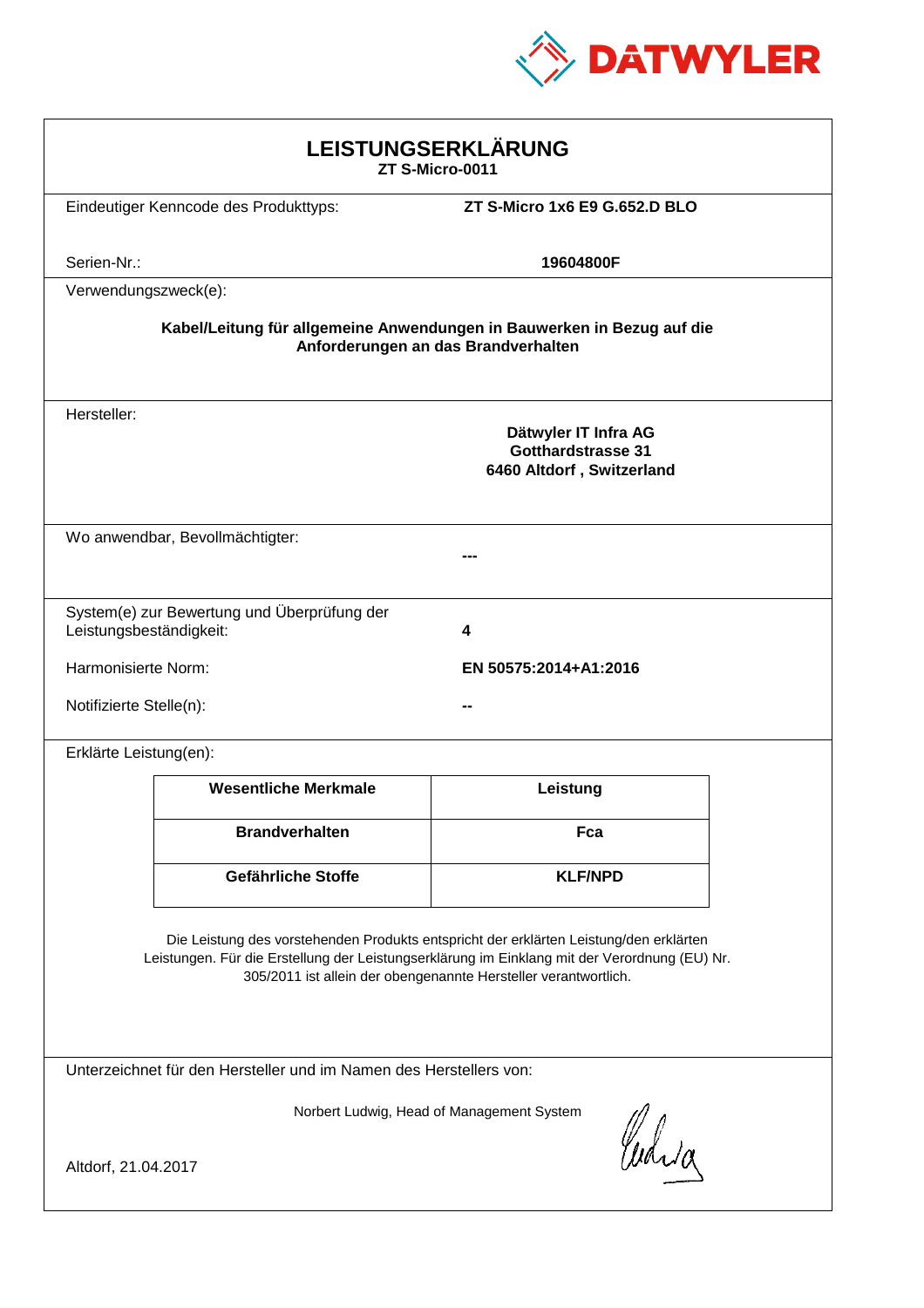

| LEISTUNGSERKLÄRUNG<br>ZT S-Micro-0011                                                                                                                                                                                                                      |                                             |                                                                         |  |
|------------------------------------------------------------------------------------------------------------------------------------------------------------------------------------------------------------------------------------------------------------|---------------------------------------------|-------------------------------------------------------------------------|--|
|                                                                                                                                                                                                                                                            | Eindeutiger Kenncode des Produkttyps:       | ZT S-Micro 1x6 E9 G.652.D BLO                                           |  |
| Serien-Nr.:                                                                                                                                                                                                                                                |                                             | 19604800F                                                               |  |
| Verwendungszweck(e):                                                                                                                                                                                                                                       |                                             |                                                                         |  |
| Kabel/Leitung für allgemeine Anwendungen in Bauwerken in Bezug auf die<br>Anforderungen an das Brandverhalten                                                                                                                                              |                                             |                                                                         |  |
| Hersteller:                                                                                                                                                                                                                                                |                                             | Dätwyler IT Infra AG<br>Gotthardstrasse 31<br>6460 Altdorf, Switzerland |  |
|                                                                                                                                                                                                                                                            | Wo anwendbar, Bevollmächtigter:             |                                                                         |  |
| Leistungsbeständigkeit:                                                                                                                                                                                                                                    | System(e) zur Bewertung und Überprüfung der | 4                                                                       |  |
| Harmonisierte Norm:<br>EN 50575:2014+A1:2016                                                                                                                                                                                                               |                                             |                                                                         |  |
| Notifizierte Stelle(n):                                                                                                                                                                                                                                    |                                             |                                                                         |  |
| Erklärte Leistung(en):                                                                                                                                                                                                                                     |                                             |                                                                         |  |
|                                                                                                                                                                                                                                                            | <b>Wesentliche Merkmale</b>                 | Leistung                                                                |  |
|                                                                                                                                                                                                                                                            | <b>Brandverhalten</b>                       | Fca                                                                     |  |
|                                                                                                                                                                                                                                                            | Gefährliche Stoffe                          | <b>KLF/NPD</b>                                                          |  |
| Die Leistung des vorstehenden Produkts entspricht der erklärten Leistung/den erklärten<br>Leistungen. Für die Erstellung der Leistungserklärung im Einklang mit der Verordnung (EU) Nr.<br>305/2011 ist allein der obengenannte Hersteller verantwortlich. |                                             |                                                                         |  |
| Unterzeichnet für den Hersteller und im Namen des Herstellers von:                                                                                                                                                                                         |                                             |                                                                         |  |
| Norbert Ludwig, Head of Management System<br>Curia<br>Altdorf, 21.04.2017                                                                                                                                                                                  |                                             |                                                                         |  |
|                                                                                                                                                                                                                                                            |                                             |                                                                         |  |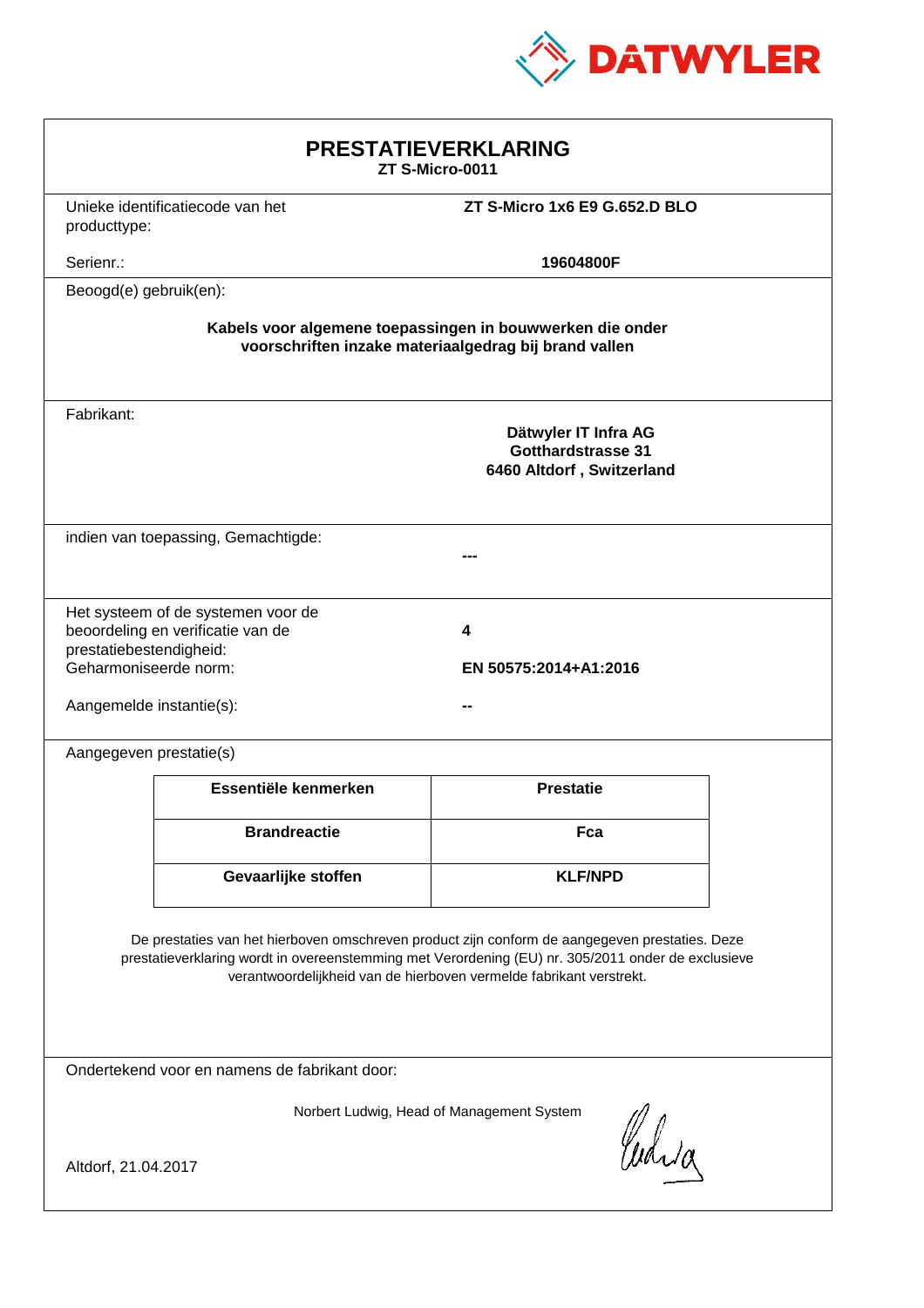

| <b>PRESTATIEVERKLARING</b><br>ZT S-Micro-0011                                                                                                                                                                                                                               |                                                                                |                               |  |  |
|-----------------------------------------------------------------------------------------------------------------------------------------------------------------------------------------------------------------------------------------------------------------------------|--------------------------------------------------------------------------------|-------------------------------|--|--|
| producttype:                                                                                                                                                                                                                                                                | Unieke identificatiecode van het                                               | ZT S-Micro 1x6 E9 G.652.D BLO |  |  |
| Serienr.:                                                                                                                                                                                                                                                                   |                                                                                | 19604800F                     |  |  |
| Beoogd(e) gebruik(en):                                                                                                                                                                                                                                                      |                                                                                |                               |  |  |
| Kabels voor algemene toepassingen in bouwwerken die onder<br>voorschriften inzake materiaalgedrag bij brand vallen                                                                                                                                                          |                                                                                |                               |  |  |
| Fabrikant:                                                                                                                                                                                                                                                                  | Dätwyler IT Infra AG<br><b>Gotthardstrasse 31</b><br>6460 Altdorf, Switzerland |                               |  |  |
|                                                                                                                                                                                                                                                                             | indien van toepassing, Gemachtigde:                                            |                               |  |  |
| Het systeem of de systemen voor de<br>beoordeling en verificatie van de<br>4<br>prestatiebestendigheid:<br>Geharmoniseerde norm:<br>EN 50575:2014+A1:2016<br>Aangemelde instantie(s):                                                                                       |                                                                                |                               |  |  |
| Aangegeven prestatie(s)                                                                                                                                                                                                                                                     |                                                                                |                               |  |  |
|                                                                                                                                                                                                                                                                             | Essentiële kenmerken                                                           | <b>Prestatie</b>              |  |  |
|                                                                                                                                                                                                                                                                             | <b>Brandreactie</b>                                                            | Fca                           |  |  |
|                                                                                                                                                                                                                                                                             | Gevaarlijke stoffen                                                            | <b>KLF/NPD</b>                |  |  |
| De prestaties van het hierboven omschreven product zijn conform de aangegeven prestaties. Deze<br>prestatieverklaring wordt in overeenstemming met Verordening (EU) nr. 305/2011 onder de exclusieve<br>verantwoordelijkheid van de hierboven vermelde fabrikant verstrekt. |                                                                                |                               |  |  |
| Ondertekend voor en namens de fabrikant door:                                                                                                                                                                                                                               |                                                                                |                               |  |  |
| Norbert Ludwig, Head of Management System<br>Which<br>Altdorf, 21.04.2017                                                                                                                                                                                                   |                                                                                |                               |  |  |
|                                                                                                                                                                                                                                                                             |                                                                                |                               |  |  |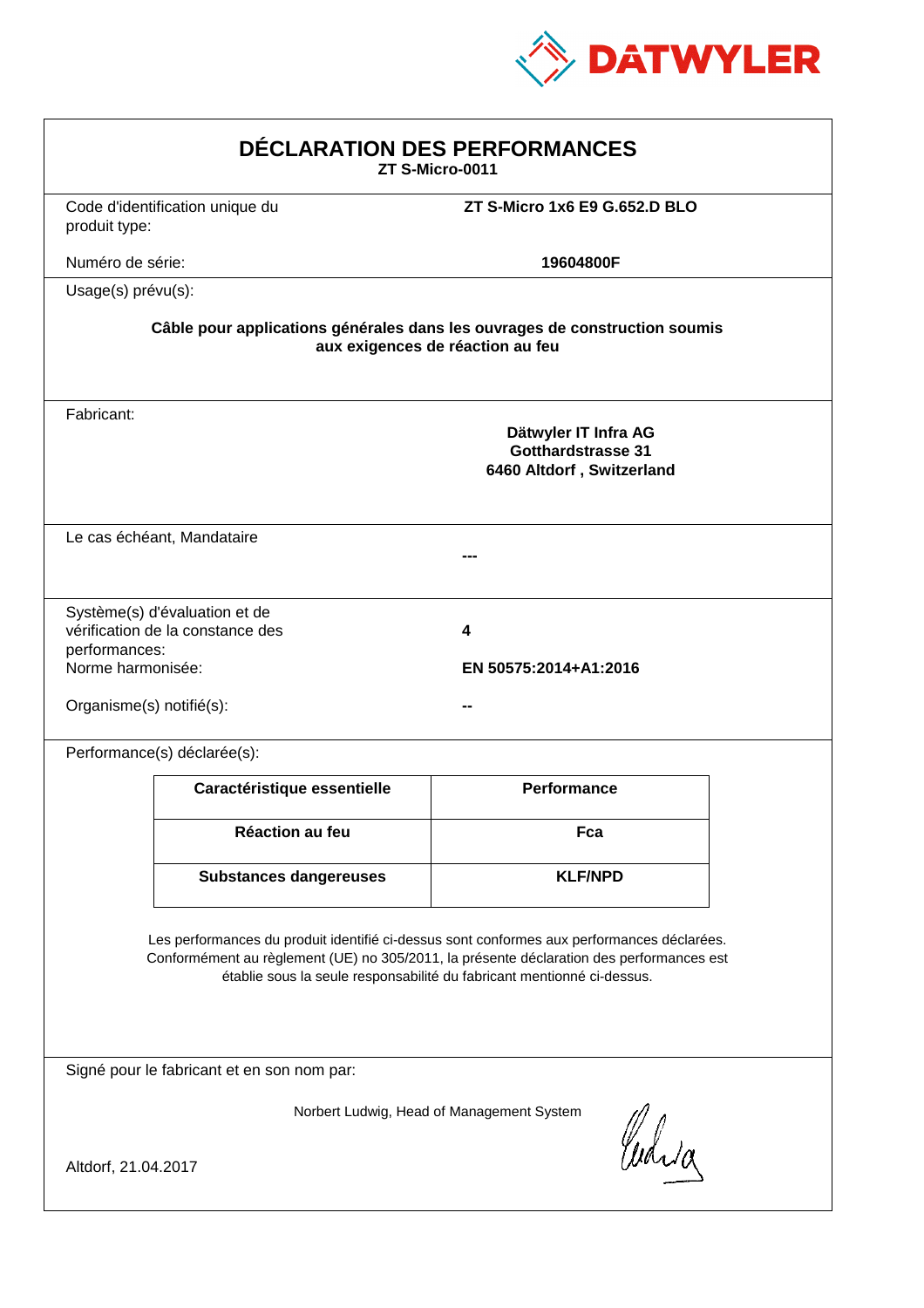

| DÉCLARATION DES PERFORMANCES<br>ZT S-Micro-0011                                                                                                                                                                                                                  |                                                                   |                                                                                                                |  |
|------------------------------------------------------------------------------------------------------------------------------------------------------------------------------------------------------------------------------------------------------------------|-------------------------------------------------------------------|----------------------------------------------------------------------------------------------------------------|--|
| produit type:                                                                                                                                                                                                                                                    | Code d'identification unique du                                   | ZT S-Micro 1x6 E9 G.652.D BLO                                                                                  |  |
| Numéro de série:                                                                                                                                                                                                                                                 |                                                                   | 19604800F                                                                                                      |  |
|                                                                                                                                                                                                                                                                  | Usage(s) prévu(s):                                                |                                                                                                                |  |
|                                                                                                                                                                                                                                                                  |                                                                   | Câble pour applications générales dans les ouvrages de construction soumis<br>aux exigences de réaction au feu |  |
| Fabricant:                                                                                                                                                                                                                                                       |                                                                   | Dätwyler IT Infra AG<br>Gotthardstrasse 31<br>6460 Altdorf, Switzerland                                        |  |
|                                                                                                                                                                                                                                                                  | Le cas échéant, Mandataire                                        |                                                                                                                |  |
| performances:<br>Norme harmonisée:<br>Organisme(s) notifié(s):                                                                                                                                                                                                   | Système(s) d'évaluation et de<br>vérification de la constance des | 4<br>EN 50575:2014+A1:2016                                                                                     |  |
|                                                                                                                                                                                                                                                                  | Performance(s) déclarée(s):                                       |                                                                                                                |  |
|                                                                                                                                                                                                                                                                  | Caractéristique essentielle                                       | <b>Performance</b>                                                                                             |  |
|                                                                                                                                                                                                                                                                  | Réaction au feu                                                   | Fca                                                                                                            |  |
|                                                                                                                                                                                                                                                                  | <b>Substances dangereuses</b>                                     | <b>KLF/NPD</b>                                                                                                 |  |
| Les performances du produit identifié ci-dessus sont conformes aux performances déclarées.<br>Conformément au règlement (UE) no 305/2011, la présente déclaration des performances est<br>établie sous la seule responsabilité du fabricant mentionné ci-dessus. |                                                                   |                                                                                                                |  |
|                                                                                                                                                                                                                                                                  | Signé pour le fabricant et en son nom par:                        |                                                                                                                |  |
| Altdorf, 21.04.2017                                                                                                                                                                                                                                              |                                                                   | Norbert Ludwig, Head of Management System<br>Curia                                                             |  |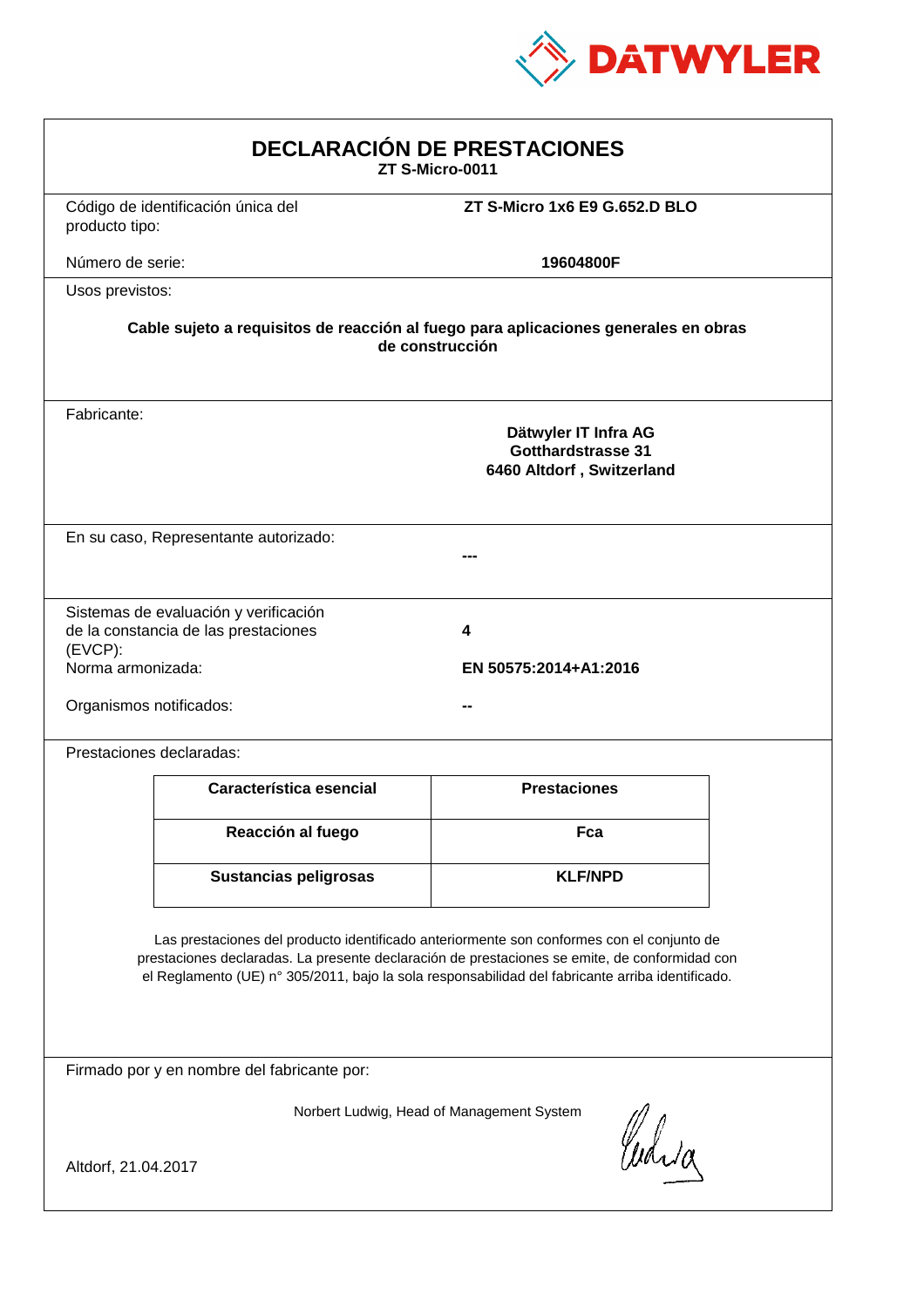

| <b>DECLARACIÓN DE PRESTACIONES</b><br>ZT S-Micro-0011                                                                                                                                                                                                                                          |                                                                         |                               |  |  |
|------------------------------------------------------------------------------------------------------------------------------------------------------------------------------------------------------------------------------------------------------------------------------------------------|-------------------------------------------------------------------------|-------------------------------|--|--|
| producto tipo:                                                                                                                                                                                                                                                                                 | Código de identificación única del                                      | ZT S-Micro 1x6 E9 G.652.D BLO |  |  |
| Número de serie:                                                                                                                                                                                                                                                                               |                                                                         | 19604800F                     |  |  |
| Usos previstos:                                                                                                                                                                                                                                                                                |                                                                         |                               |  |  |
| Cable sujeto a requisitos de reacción al fuego para aplicaciones generales en obras<br>de construcción                                                                                                                                                                                         |                                                                         |                               |  |  |
| Fabricante:                                                                                                                                                                                                                                                                                    | Dätwyler IT Infra AG<br>Gotthardstrasse 31<br>6460 Altdorf, Switzerland |                               |  |  |
| En su caso, Representante autorizado:                                                                                                                                                                                                                                                          |                                                                         |                               |  |  |
| Sistemas de evaluación y verificación<br>de la constancia de las prestaciones<br>4<br>(EVCP):<br>Norma armonizada:<br>EN 50575:2014+A1:2016<br>Organismos notificados:                                                                                                                         |                                                                         |                               |  |  |
|                                                                                                                                                                                                                                                                                                | Prestaciones declaradas:                                                |                               |  |  |
|                                                                                                                                                                                                                                                                                                | Característica esencial                                                 | <b>Prestaciones</b>           |  |  |
|                                                                                                                                                                                                                                                                                                | Reacción al fuego                                                       | Fca                           |  |  |
|                                                                                                                                                                                                                                                                                                | <b>Sustancias peligrosas</b>                                            | <b>KLF/NPD</b>                |  |  |
| Las prestaciones del producto identificado anteriormente son conformes con el conjunto de<br>prestaciones declaradas. La presente declaración de prestaciones se emite, de conformidad con<br>el Reglamento (UE) nº 305/2011, bajo la sola responsabilidad del fabricante arriba identificado. |                                                                         |                               |  |  |
| Firmado por y en nombre del fabricante por:                                                                                                                                                                                                                                                    |                                                                         |                               |  |  |
| Norbert Ludwig, Head of Management System<br>Waja<br>Altdorf, 21.04.2017                                                                                                                                                                                                                       |                                                                         |                               |  |  |
|                                                                                                                                                                                                                                                                                                |                                                                         |                               |  |  |